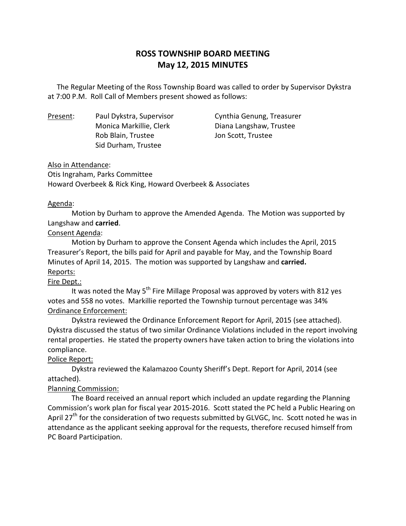# **ROSS TOWNSHIP BOARD MEETING May 12, 2015 MINUTES**

 at 7:00 P.M. Roll Call of Members present showed as follows: The Regular Meeting of the Ross Township Board was called to order by Supervisor Dykstra

Present: Rob Blain, Trustee **Internal Scott**, Trustee Sid Durham, Trustee

Paul Dykstra, Supervisor Cynthia Genung, Treasurer Monica Markillie, Clerk Diana Langshaw, Trustee

## Also in Attendance:

 Otis Ingraham, Parks Committee Howard Overbeek & Rick King, Howard Overbeek & Associates

## Agenda:

 Motion by Durham to approve the Amended Agenda. The Motion was supported by Langshaw and **carried**.

## Consent Agenda:

 Motion by Durham to approve the Consent Agenda which includes the April, 2015 Treasurer's Report, the bills paid for April and payable for May, and the Township Board Minutes of April 14, 2015. The motion was supported by Langshaw and **carried.**  Reports:

## Fire Dept.:

 votes and 558 no votes. Markillie reported the Township turnout percentage was 34% It was noted the May  $5<sup>th</sup>$  Fire Millage Proposal was approved by voters with 812 yes Ordinance Enforcement:

 Dykstra reviewed the Ordinance Enforcement Report for April, 2015 (see attached). Dykstra discussed the status of two similar Ordinance Violations included in the report involving rental properties. He stated the property owners have taken action to bring the violations into compliance.

## Police Report:

 Dykstra reviewed the Kalamazoo County Sheriff's Dept. Report for April, 2014 (see attached).

## Planning Commission:

 Commission's work plan for fiscal year 2015-2016. Scott stated the PC held a Public Hearing on April 27<sup>th</sup> for the consideration of two requests submitted by GLVGC, Inc. Scott noted he was in attendance as the applicant seeking approval for the requests, therefore recused himself from PC Board Participation. The Board received an annual report which included an update regarding the Planning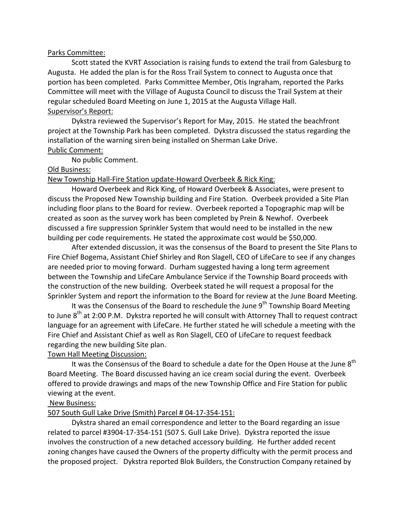#### Parks Committee:

 Augusta. He added the plan is for the Ross Trail System to connect to Augusta once that portion has been completed. Parks Committee Member, Otis Ingraham, reported the Parks Committee will meet with the Village of Augusta Council to discuss the Trail System at their regular scheduled Board Meeting on June 1, 2015 at the Augusta Village Hall. Supervisor's Report: Scott stated the KVRT Association is raising funds to extend the trail from Galesburg to

 Dykstra reviewed the Supervisor's Report for May, 2015. He stated the beachfront project at the Township Park has been completed. Dykstra discussed the status regarding the installation of the warning siren being installed on Sherman Lake Drive. Public Comment:

No public Comment.

## Old Business:

New Township Hall-Fire Station update-Howard Overbeek & Rick King:

 Howard Overbeek and Rick King, of Howard Overbeek & Associates, were present to discuss the Proposed New Township building and Fire Station. Overbeek provided a Site Plan including floor plans to the Board for review. Overbeek reported a Topographic map will be created as soon as the survey work has been completed by Prein & Newhof. Overbeek discussed a fire suppression Sprinkler System that would need to be installed in the new building per code requirements. He stated the approximate cost would be \$50,000.

 Fire Chief Bogema, Assistant Chief Shirley and Ron Slagell, CEO of LifeCare to see if any changes are needed prior to moving forward. Durham suggested having a long term agreement between the Township and LifeCare Ambulance Service if the Township Board proceeds with the construction of the new building. Overbeek stated he will request a proposal for the Sprinkler System and report the information to the Board for review at the June Board Meeting. After extended discussion, it was the consensus of the Board to present the Site Plans to

to June  $8^\text{th}$  at 2:00 P.M. Dykstra reported he will consult with Attorney Thall to request contract language for an agreement with LifeCare. He further stated he will schedule a meeting with the Fire Chief and Assistant Chief as well as Ron Slagell, CEO of LifeCare to request feedback regarding the new building Site plan. It was the Consensus of the Board to reschedule the June 9<sup>th</sup> Township Board Meeting

## Town Hall Meeting Discussion:

 Board Meeting. The Board discussed having an ice cream social during the event. Overbeek offered to provide drawings and maps of the new Township Office and Fire Station for public viewing at the event. It was the Consensus of the Board to schedule a date for the Open House at the June  $8<sup>th</sup>$ 

## New Business:

## 507 South Gull Lake Drive (Smith) Parcel # 04-17-354-151:

 Dykstra shared an email correspondence and letter to the Board regarding an issue related to parcel #3904-17-354-151 (507 S. Gull Lake Drive). Dykstra reported the issue involves the construction of a new detached accessory building. He further added recent zoning changes have caused the Owners of the property difficulty with the permit process and the proposed project. Dykstra reported Blok Builders, the Construction Company retained by